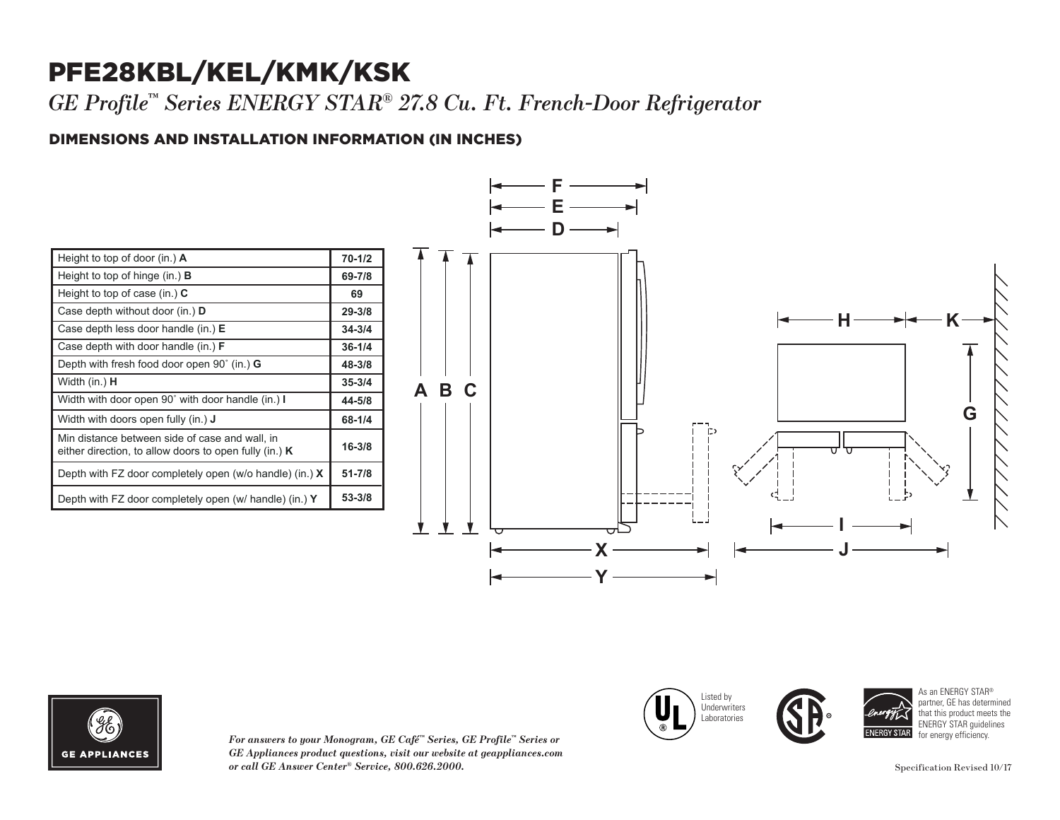## PFE28KBL/KEL/KMK/KSK

*GE Profile™ Series ENERGY STAR® 27.8 Cu. Ft. French-Door Refrigerator* 

### DIMENSIONS AND INSTALLATION INFORMATION (IN INCHES) **I**

| Height to top of door (in.) $\mathbf{A}$                                                                   | $70 - 1/2$ |
|------------------------------------------------------------------------------------------------------------|------------|
| Height to top of hinge (in.) $\bf{B}$                                                                      | 69-7/8     |
| Height to top of case (in.) $C$                                                                            | 69         |
| Case depth without door (in.) D                                                                            | $29 - 3/8$ |
| Case depth less door handle (in.) $E$                                                                      | $34 - 3/4$ |
| Case depth with door handle (in.) $F$                                                                      | $36 - 1/4$ |
| Depth with fresh food door open $90^{\circ}$ (in.) G                                                       | 48-3/8     |
| Width (in.) <b>H</b>                                                                                       | $35 - 3/4$ |
| Width with door open 90° with door handle (in.) I                                                          | 44-5/8     |
| Width with doors open fully (in.) <b>J</b>                                                                 | 68-1/4     |
| Min distance between side of case and wall, in<br>either direction, to allow doors to open fully (in.) $K$ | $16 - 3/8$ |
| Depth with FZ door completely open (w/o handle) (in.) $X$                                                  | $51 - 7/8$ |
| Depth with FZ door completely open (w/ handle) (in.) Y                                                     | 53-3/8     |



Listed by Underwriters Laboratories

Case depth less door handle (in.) **E** Case depth with door handle (in.) **F**



*For answers to your Monogram, GE Café™ Series, GE Profile™ Series or*   $GE$  *Appliances product questions, visit our website at geappliances.com or call GE Answer Center® Service, 800.626.2000.* Specification Revised 10/17 Depth with fresh food door open 90˚ (in.) **G**

**GY STAR** 

**34-3/4 36-1/4**

As an ENERGY STAR® partner, GE has determined that this product meets the ENERGY STAR guidelines for energy efficiency.